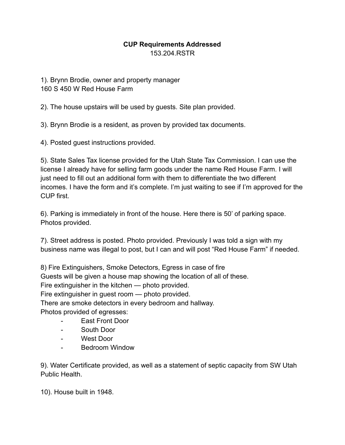## **CUP Requirements Addressed** 153.204.RSTR

1). Brynn Brodie, owner and property manager 160 S 450 W Red House Farm

2). The house upstairs will be used by guests. Site plan provided.

3). Brynn Brodie is a resident, as proven by provided tax documents.

4). Posted guest instructions provided.

5). State Sales Tax license provided for the Utah State Tax Commission. I can use the license I already have for selling farm goods under the name Red House Farm. I will just need to fill out an additional form with them to differentiate the two different incomes. I have the form and it's complete. I'm just waiting to see if I'm approved for the CUP first.

6). Parking is immediately in front of the house. Here there is 50' of parking space. Photos provided.

7). Street address is posted. Photo provided. Previously I was told a sign with my business name was illegal to post, but I can and will post "Red House Farm" if needed.

8) Fire Extinguishers, Smoke Detectors, Egress in case of fire

Guests will be given a house map showing the location of all of these.

Fire extinguisher in the kitchen — photo provided.

Fire extinguisher in guest room — photo provided.

There are smoke detectors in every bedroom and hallway.

Photos provided of egresses:

- East Front Door
- South Door
- West Door
- Bedroom Window

9). Water Certificate provided, as well as a statement of septic capacity from SW Utah Public Health.

10). House built in 1948.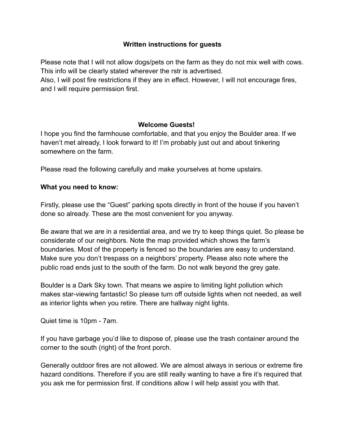## **Written instructions for guests**

Please note that I will not allow dogs/pets on the farm as they do not mix well with cows. This info will be clearly stated wherever the rstr is advertised.

Also, I will post fire restrictions if they are in effect. However, I will not encourage fires, and I will require permission first.

# **Welcome Guests!**

I hope you find the farmhouse comfortable, and that you enjoy the Boulder area. If we haven't met already, I look forward to it! I'm probably just out and about tinkering somewhere on the farm.

Please read the following carefully and make yourselves at home upstairs.

### **What you need to know:**

Firstly, please use the "Guest" parking spots directly in front of the house if you haven't done so already. These are the most convenient for you anyway.

Be aware that we are in a residential area, and we try to keep things quiet. So please be considerate of our neighbors. Note the map provided which shows the farm's boundaries. Most of the property is fenced so the boundaries are easy to understand. Make sure you don't trespass on a neighbors' property. Please also note where the public road ends just to the south of the farm. Do not walk beyond the grey gate.

Boulder is a Dark Sky town. That means we aspire to limiting light pollution which makes star-viewing fantastic! So please turn off outside lights when not needed, as well as interior lights when you retire. There are hallway night lights.

Quiet time is 10pm - 7am.

If you have garbage you'd like to dispose of, please use the trash container around the corner to the south (right) of the front porch.

Generally outdoor fires are not allowed. We are almost always in serious or extreme fire hazard conditions. Therefore if you are still really wanting to have a fire it's required that you ask me for permission first. If conditions allow I will help assist you with that.